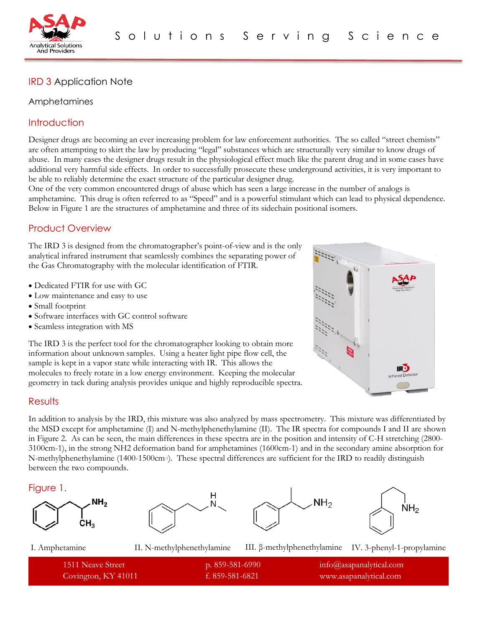

# IRD 3 Application Note

### Amphetamines

## **Introduction**

Designer drugs are becoming an ever increasing problem for law enforcement authorities. The so called "street chemists" are often attempting to skirt the law by producing "legal" substances which are structurally very similar to know drugs of abuse. In many cases the designer drugs result in the physiological effect much like the parent drug and in some cases have additional very harmful side effects. In order to successfully prosecute these underground activities, it is very important to be able to reliably determine the exact structure of the particular designer drug.

One of the very common encountered drugs of abuse which has seen a large increase in the number of analogs is amphetamine. This drug is often referred to as "Speed" and is a powerful stimulant which can lead to physical dependence. Below in Figure 1 are the structures of amphetamine and three of its sidechain positional isomers.

# Product Overview

The IRD 3 is designed from the chromatographer's point-of-view and is the only analytical infrared instrument that seamlessly combines the separating power of the Gas Chromatography with the molecular identification of FTIR.

- Dedicated FTIR for use with GC
- Low maintenance and easy to use
- Small footprint
- Software interfaces with GC control software
- Seamless integration with MS

The IRD 3 is the perfect tool for the chromatographer looking to obtain more information about unknown samples. Using a heater light pipe flow cell, the sample is kept in a vapor state while interacting with IR. This allows the molecules to freely rotate in a low energy environment. Keeping the molecular geometry in tack during analysis provides unique and highly reproducible spectra.



## **Results**

In addition to analysis by the IRD, this mixture was also analyzed by mass spectrometry. This mixture was differentiated by the MSD except for amphetamine (I) and N-methylphenethylamine (II). The IR spectra for compounds I and II are shown in Figure 2. As can be seen, the main differences in these spectra are in the position and intensity of C-H stretching (2800- 3100cm-1), in the strong NH2 deformation band for amphetamines (1600cm-1) and in the secondary amine absorption for N-methylphenethylamine (1400-1500cm-1). These spectral differences are sufficient for the IRD to readily distinguish between the two compounds.

#### Figure 1.









I. Amphetamine II. N-methylphenethylamine III. β-methylphenethylamine IV. 3-phenyl-1-propylamine

| 1511 Neave Street   | p. 859-581-6990 | $info@$ asapanalytical.com |
|---------------------|-----------------|----------------------------|
| Covington, KY 41011 | f. 859-581-6821 | www.asapanalytical.com     |